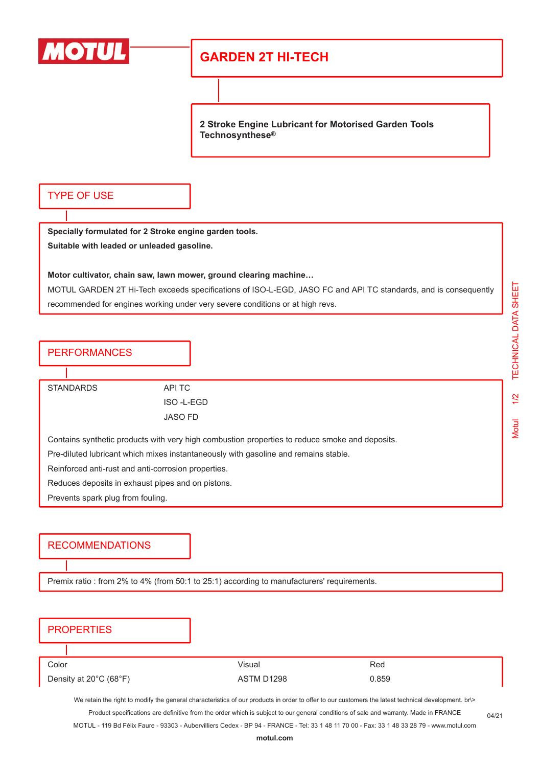

## **GARDEN 2T HI-TECH**

**2 Stroke Engine Lubricant for Motorised Garden Tools Technosynthese®**

### TYPE OF USE

**Specially formulated for 2 Stroke engine garden tools. Suitable with leaded or unleaded gasoline.**

#### **Motor cultivator, chain saw, lawn mower, ground clearing machine…**

MOTUL GARDEN 2T Hi-Tech exceeds specifications of ISO-L-EGD, JASO FC and API TC standards, and is consequently recommended for engines working under very severe conditions or at high revs.

### PERFORMANCES

STANDARDS API TC

ISO -L-EGD JASO FD

Contains synthetic products with very high combustion properties to reduce smoke and deposits.

Pre-diluted lubricant which mixes instantaneously with gasoline and remains stable.

Reinforced anti-rust and anti-corrosion properties.

Reduces deposits in exhaust pipes and on pistons.

Prevents spark plug from fouling.

### RECOMMENDATIONS

Premix ratio : from 2% to 4% (from 50:1 to 25:1) according to manufacturers' requirements.